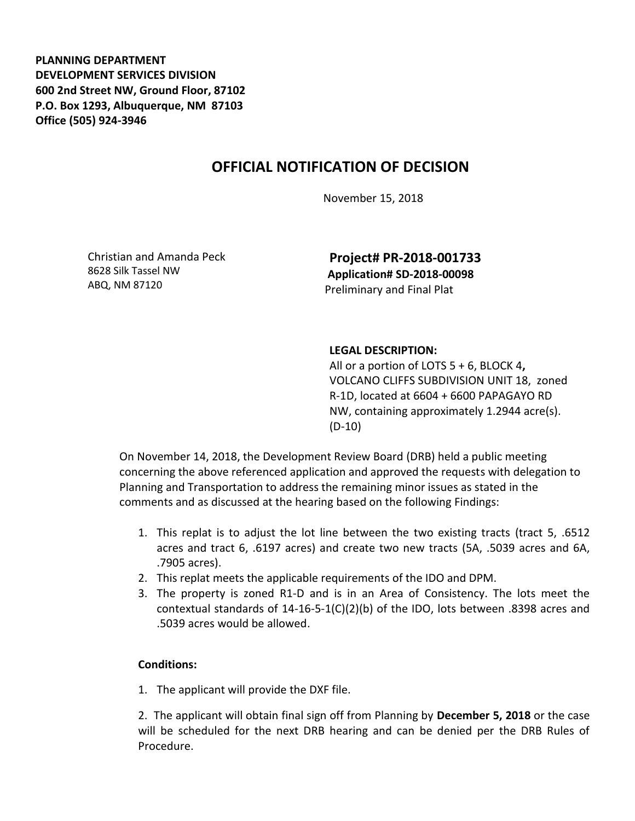**PLANNING DEPARTMENT DEVELOPMENT SERVICES DIVISION 600 2nd Street NW, Ground Floor, 87102 P.O. Box 1293, Albuquerque, NM 87103 Office (505) 924-3946** 

## **OFFICIAL NOTIFICATION OF DECISION**

November 15, 2018

Christian and Amanda Peck 8628 Silk Tassel NW ABQ, NM 87120

**Project# PR-2018-001733 Application# SD-2018-00098** Preliminary and Final Plat

## **LEGAL DESCRIPTION:**

All or a portion of LOTS 5 + 6, BLOCK 4**,**  VOLCANO CLIFFS SUBDIVISION UNIT 18,zoned R-1D, located at 6604 + 6600 PAPAGAYO RD NW, containing approximately 1.2944 acre(s). (D-10)

On November 14, 2018, the Development Review Board (DRB) held a public meeting concerning the above referenced application and approved the requests with delegation to Planning and Transportation to address the remaining minor issues as stated in the comments and as discussed at the hearing based on the following Findings:

- 1. This replat is to adjust the lot line between the two existing tracts (tract 5, .6512 acres and tract 6, .6197 acres) and create two new tracts (5A, .5039 acres and 6A, .7905 acres).
- 2. This replat meets the applicable requirements of the IDO and DPM.
- 3. The property is zoned R1-D and is in an Area of Consistency. The lots meet the contextual standards of  $14-16-5-1(C)(2)(b)$  of the IDO, lots between .8398 acres and .5039 acres would be allowed.

## **Conditions:**

1. The applicant will provide the DXF file.

2. The applicant will obtain final sign off from Planning by **December 5, 2018** or the case will be scheduled for the next DRB hearing and can be denied per the DRB Rules of Procedure.